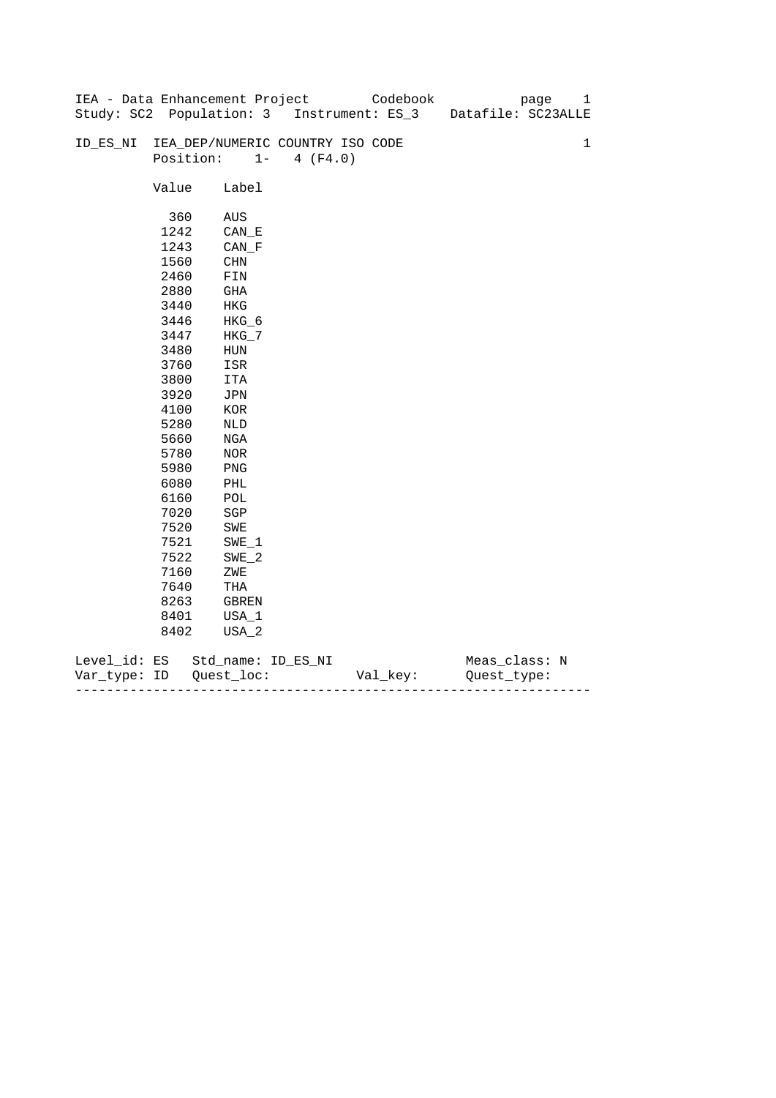|              |       | IEA - Data Enhancement Project            |                   | Codebook | page               | 1           |
|--------------|-------|-------------------------------------------|-------------------|----------|--------------------|-------------|
|              |       | Study: SC2 Population: 3 Instrument: ES_3 |                   |          | Datafile: SC23ALLE |             |
|              |       |                                           |                   |          |                    |             |
| ID_ES_NI     |       | IEA_DEP/NUMERIC COUNTRY ISO CODE          |                   |          |                    | $\mathbf 1$ |
|              |       | Position:                                 | $1 -$<br>4 (F4.0) |          |                    |             |
|              |       |                                           |                   |          |                    |             |
|              | Value | Label                                     |                   |          |                    |             |
|              |       |                                           |                   |          |                    |             |
|              | 360   | AUS                                       |                   |          |                    |             |
|              | 1242  | CAN E                                     |                   |          |                    |             |
|              | 1243  | $CAN_F$                                   |                   |          |                    |             |
|              | 1560  | CHN                                       |                   |          |                    |             |
|              | 2460  | FIN                                       |                   |          |                    |             |
|              | 2880  | GHA                                       |                   |          |                    |             |
|              | 3440  | HKG                                       |                   |          |                    |             |
|              | 3446  | $HKG_6$                                   |                   |          |                    |             |
|              | 3447  | $HKG_7$                                   |                   |          |                    |             |
|              | 3480  | ${\tt HUN}$                               |                   |          |                    |             |
|              | 3760  | ISR                                       |                   |          |                    |             |
|              | 3800  | ITA                                       |                   |          |                    |             |
|              | 3920  | JPN                                       |                   |          |                    |             |
|              | 4100  | $_{\rm KOR}$                              |                   |          |                    |             |
|              | 5280  | NLD                                       |                   |          |                    |             |
|              | 5660  | NGA                                       |                   |          |                    |             |
|              | 5780  | NOR                                       |                   |          |                    |             |
|              | 5980  | PNG                                       |                   |          |                    |             |
|              | 6080  | PHL                                       |                   |          |                    |             |
|              | 6160  | $\mathop{\rm POL}\nolimits$               |                   |          |                    |             |
|              | 7020  | $_{\rm SGP}$                              |                   |          |                    |             |
|              | 7520  | SWE                                       |                   |          |                    |             |
|              | 7521  | $SWE_1$                                   |                   |          |                    |             |
|              | 7522  | $SWE_2$                                   |                   |          |                    |             |
|              | 7160  | ZWE                                       |                   |          |                    |             |
|              | 7640  | THA                                       |                   |          |                    |             |
|              | 8263  | GBREN                                     |                   |          |                    |             |
|              | 8401  | USA_1                                     |                   |          |                    |             |
|              | 8402  | USA_2                                     |                   |          |                    |             |
| Level_id: ES |       | Std_name: ID_ES_NI                        |                   |          | Meas_class: N      |             |
|              |       |                                           |                   |          |                    |             |

| Var<br>туре.<br>. | TΡ | $ -$ | - |
|-------------------|----|------|---|
|                   |    |      |   |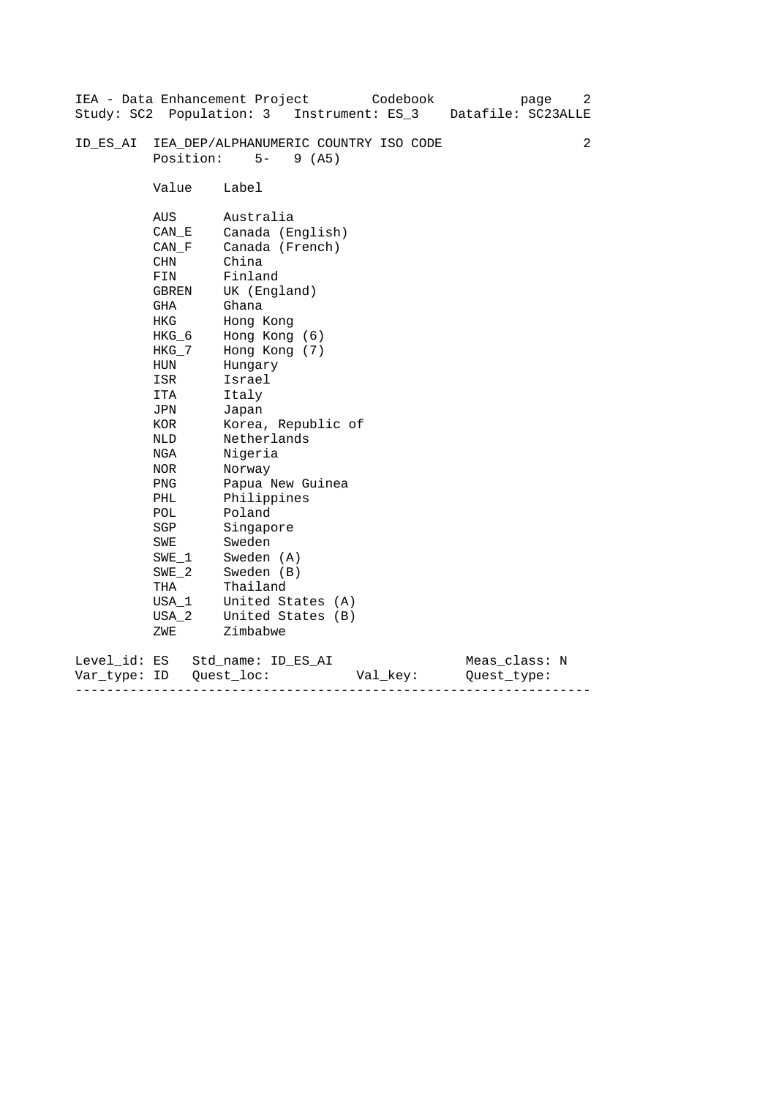|                           |                                                                                                                                                                                                                                               | IEA - Data Enhancement Project<br>Codebook<br>page                                                                                                                                                                                                                                                                                                                                                              | 2 |
|---------------------------|-----------------------------------------------------------------------------------------------------------------------------------------------------------------------------------------------------------------------------------------------|-----------------------------------------------------------------------------------------------------------------------------------------------------------------------------------------------------------------------------------------------------------------------------------------------------------------------------------------------------------------------------------------------------------------|---|
|                           |                                                                                                                                                                                                                                               | Study: SC2 Population: 3 Instrument: ES_3<br>Datafile: SC23ALLE                                                                                                                                                                                                                                                                                                                                                 |   |
| ID ES AI                  | Position:                                                                                                                                                                                                                                     | IEA_DEP/ALPHANUMERIC COUNTRY ISO CODE<br>$5-$<br>9(AB)                                                                                                                                                                                                                                                                                                                                                          | 2 |
|                           | Value                                                                                                                                                                                                                                         | Label                                                                                                                                                                                                                                                                                                                                                                                                           |   |
|                           | AUS<br>CAN E<br>CAN F<br><b>CHN</b><br>FIN<br>GBREN<br>GHA<br>HKG<br>HKG 6<br>$HKG_7$<br>HUN<br>ISR<br>ITA<br>JPN<br>KOR<br>NLD<br>NGA<br>NOR<br><b>PNG</b><br>PHL<br>POL<br>SGP<br>SWE<br>SWE 1<br>$SWE_2$<br>THA<br>$USA_1$<br>USA 2<br>ZWE | Australia<br>Canada (English)<br>Canada (French)<br>China<br>Finland<br>UK (England)<br>Ghana<br>Hong Kong<br>Hong Kong (6)<br>Hong Kong (7)<br>Hungary<br>Israel<br>Italy<br>Japan<br>Korea, Republic of<br>Netherlands<br>Nigeria<br>Norway<br>Papua New Guinea<br>Philippines<br>Poland<br>Singapore<br>Sweden<br>Sweden (A)<br>Sweden (B)<br>Thailand<br>United States (A)<br>United States (B)<br>Zimbabwe |   |
|                           |                                                                                                                                                                                                                                               |                                                                                                                                                                                                                                                                                                                                                                                                                 |   |
| Level_id: ES<br>Var_type: | ID                                                                                                                                                                                                                                            | Meas_class: N<br>Std name: ID ES AI<br>Quest loc:<br>Val_key:<br>Ouest type:                                                                                                                                                                                                                                                                                                                                    |   |

------------------------------------------------------------------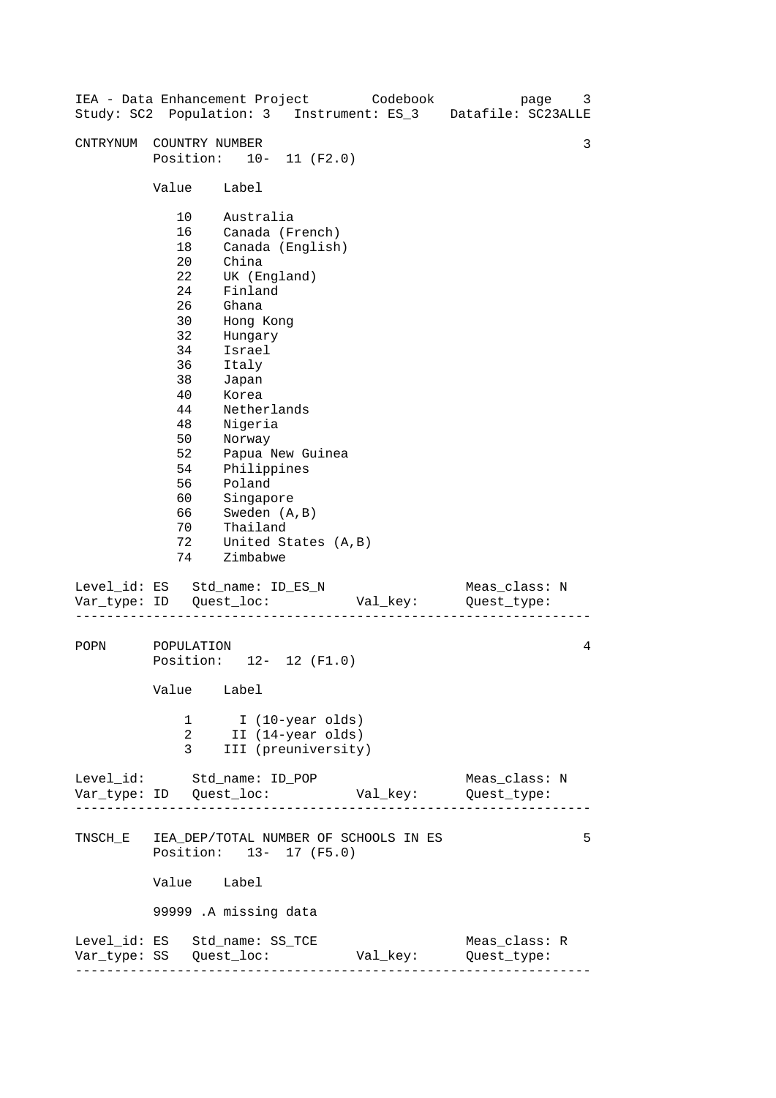| IEA - Data Enhancement Project Codebook       |                                                                                                                                              |                                                                                                                                                                                                                                                                                                                           |                     |          | page<br>Study: SC2 Population: 3 Instrument: ES_3 Datafile: SC23ALLE | 3 |
|-----------------------------------------------|----------------------------------------------------------------------------------------------------------------------------------------------|---------------------------------------------------------------------------------------------------------------------------------------------------------------------------------------------------------------------------------------------------------------------------------------------------------------------------|---------------------|----------|----------------------------------------------------------------------|---|
| CNTRYNUM COUNTRY NUMBER                       | Position: 10- 11 (F2.0)                                                                                                                      |                                                                                                                                                                                                                                                                                                                           |                     |          |                                                                      | 3 |
|                                               | Value                                                                                                                                        | Label                                                                                                                                                                                                                                                                                                                     |                     |          |                                                                      |   |
|                                               | 10<br>16<br>18<br>20<br>22<br>24<br>26<br>30<br>32<br>34<br>36<br>38<br>40<br>44<br>48<br>50<br>52<br>54<br>56<br>60<br>66<br>70<br>72<br>74 | Australia<br>Canada (French)<br>Canada (English)<br>China<br>UK (England)<br>Finland<br>Ghana<br>Hong Kong<br>Hungary<br>Israel<br>Italy<br>Japan<br>Korea<br>Netherlands<br>Nigeria<br>Norway<br>Papua New Guinea<br>Philippines<br>Poland<br>Singapore<br>Sweden (A, B)<br>Thailand<br>United States (A, B)<br>Zimbabwe |                     |          |                                                                      |   |
| Level_id: ES Std_name: ID_ES_N                |                                                                                                                                              |                                                                                                                                                                                                                                                                                                                           |                     |          | Meas_class: N<br>Val_key:           Quest_type:                      |   |
| POPN                                          | POPULATION<br>Position: 12- 12 (F1.0)<br>Value<br>1<br>2<br>3                                                                                | Label<br>I (10-year olds)<br>II (14-year olds)                                                                                                                                                                                                                                                                            | III (preuniversity) |          |                                                                      | 4 |
| Level_id: Std_name: ID_POP                    |                                                                                                                                              |                                                                                                                                                                                                                                                                                                                           |                     |          | Meas_class: N                                                        |   |
| TNSCH_E IEA_DEP/TOTAL NUMBER OF SCHOOLS IN ES | Position: 13- 17 (F5.0)<br>Value Label<br>99999 .A missing data                                                                              |                                                                                                                                                                                                                                                                                                                           |                     |          |                                                                      | 5 |
| Level_id: ES Std_name: SS_TCE                 |                                                                                                                                              |                                                                                                                                                                                                                                                                                                                           |                     | Val_key: | Meas_class: R<br>Quest_type:                                         |   |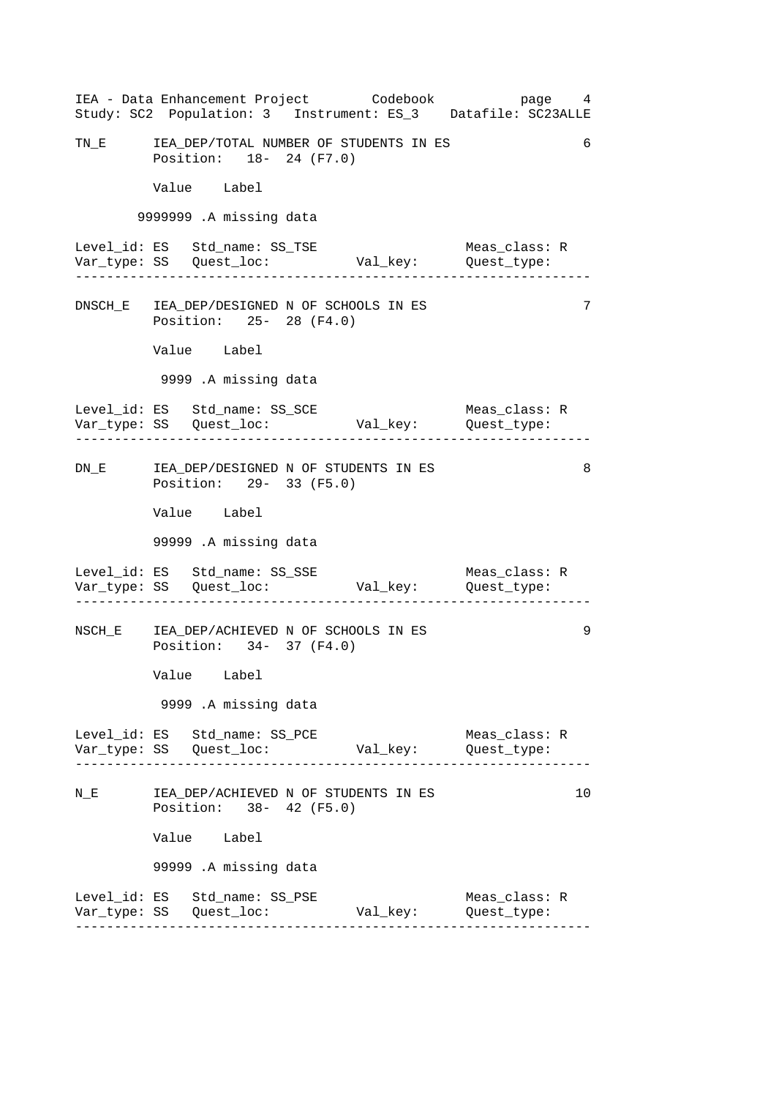------------------------------------------------------------------ ------------------------------------------------------------------ ------------------------------------------------------------------ ------------------------------------------------------------------ ------------------------------------------------------------------ 6 IEA - Data Enhancement Project Codebook page 4 Study: SC2 Population: 3 Instrument: ES\_3 Datafile: SC23ALLE TN\_E IEA\_DEP/TOTAL NUMBER OF STUDENTS IN ES Position: 18- 24 (F7.0) Value Label 9999999 .A missing data Level\_id: ES Std\_name: SS\_TSE Meas\_class: R Var\_type: SS Quest\_loc: Val\_key: Quest\_type: DNSCH\_E IEA\_DEP/DESIGNED N OF SCHOOLS IN ES 7 Position: 25- 28 (F4.0) Value Label 9999 .A missing data Level\_id: ES Std\_name: SS\_SCE Meas\_class: R Var\_type: SS Quest\_loc: Val\_key: Quest\_type: DN\_E IEA\_DEP/DESIGNED N OF STUDENTS IN ES 8 Position: 29- 33 (F5.0) Value Label 99999 .A missing data Level\_id: ES Std\_name: SS\_SSE Meas\_class: R Var\_type: SS Quest\_loc: Val\_key: Quest\_type: NSCH\_E IEA\_DEP/ACHIEVED N OF SCHOOLS IN ES 9 Position: 34- 37 (F4.0) Value Label 9999 .A missing data Level\_id: ES Std\_name: SS\_PCE Meas\_class: R Var\_type: SS Quest\_loc: Val\_key: Quest\_type: N\_E TEA\_DEP/ACHIEVED N OF STUDENTS IN ES 10 10 Position: 38- 42 (F5.0) Value Label 99999 .A missing data Level\_id: ES Std\_name: SS\_PSE Meas\_class: R Var\_type: SS Quest\_loc: Val\_key: Quest\_type: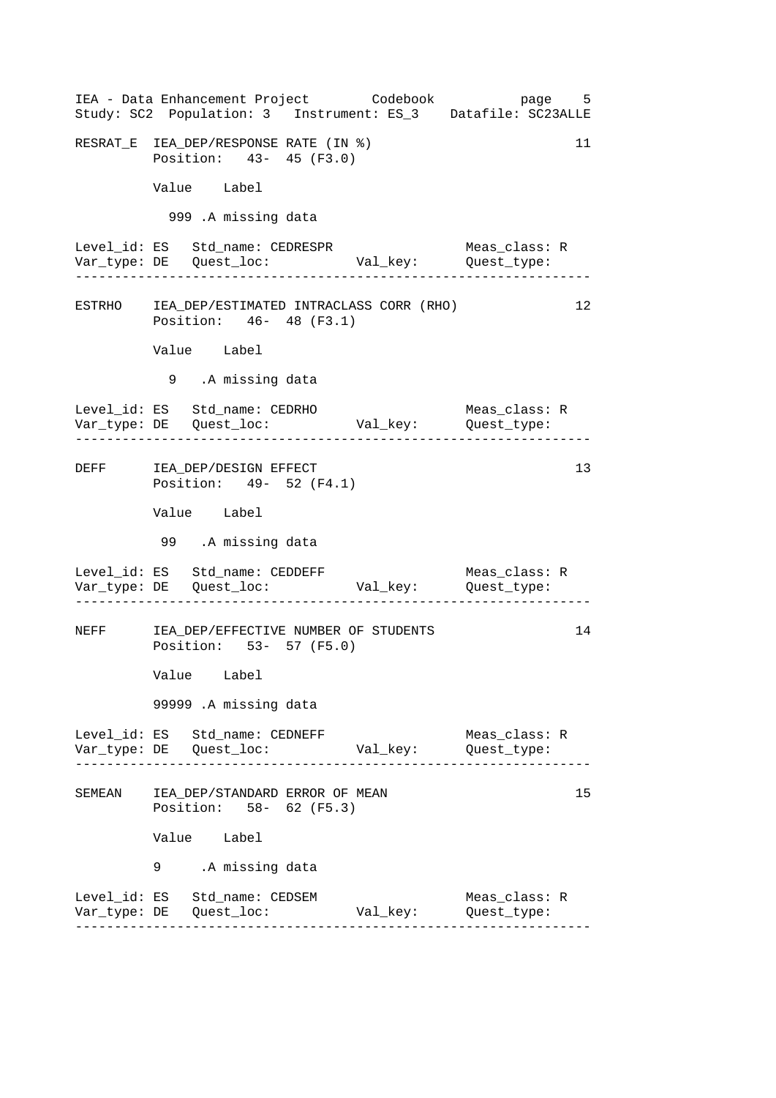------------------------------------------------------------------ ------------------------------------------------------------------ ------------------------------------------------------------------ ------------------------------------------------------------------ ------------------------------------------------------------------ IEA - Data Enhancement Project Codebook page 5 Study: SC2 Population: 3 Instrument: ES\_3 Datafile: SC23ALLE RESRAT\_E IEA\_DEP/RESPONSE RATE (IN %) 11 Position: 43- 45 (F3.0) Value Label 999 .A missing data Level\_id: ES Std\_name: CEDRESPR Meas\_class: R Var\_type: DE Quest\_loc: Val\_key: Quest\_type: ESTRHO IEA\_DEP/ESTIMATED INTRACLASS CORR (RHO) 12 Position: 46- 48 (F3.1) Value Label 9 .A missing data Level\_id: ES Std\_name: CEDRHO Meas\_class: R Var\_type: DE Quest\_loc: Val\_key: Quest\_type: DEFF IEA\_DEP/DESIGN EFFECT 13 Position: 49- 52 (F4.1) Value Label 99 .A missing data Level\_id: ES Std\_name: CEDDEFF Meas\_class: R Var\_type: DE Quest\_loc: Val\_key: Quest\_type: NEFF IEA\_DEP/EFFECTIVE NUMBER OF STUDENTS 14 Position: 53- 57 (F5.0) Value Label 99999 .A missing data Level\_id: ES Std\_name: CEDNEFF Meas\_class: R Var\_type: DE Quest\_loc: Val\_key: Quest\_type: SEMEAN IEA DEP/STANDARD ERROR OF MEAN Position: 58- 62 (F5.3) Value Label .A missing data 9 Level\_id: ES Std\_name: CEDSEM Meas\_class: R Var\_type: DE Quest\_loc: Val\_key: Quest\_type: 15